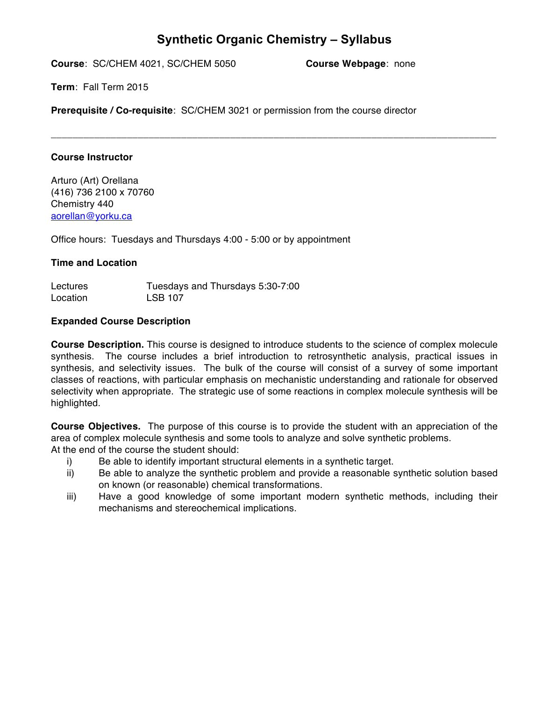# **Synthetic Organic Chemistry – Syllabus**

**\_\_\_\_\_\_\_\_\_\_\_\_\_\_\_\_\_\_\_\_\_\_\_\_\_\_\_\_\_\_\_\_\_\_\_\_\_\_\_\_\_\_\_\_\_\_\_\_\_\_\_\_\_\_\_\_\_\_\_\_\_\_\_\_\_\_\_\_\_\_\_\_\_\_\_\_\_\_\_\_\_\_**

**Course**: SC/CHEM 4021, SC/CHEM 5050 **Course Webpage**: none

**Term**: Fall Term 2015

**Prerequisite / Co-requisite**: SC/CHEM 3021 or permission from the course director

#### **Course Instructor**

Arturo (Art) Orellana (416) 736 2100 x 70760 Chemistry 440 aorellan@yorku.ca

Office hours: Tuesdays and Thursdays 4:00 - 5:00 or by appointment

## **Time and Location**

Lectures Tuesdays and Thursdays 5:30-7:00 Location LSB 107

## **Expanded Course Description**

**Course Description.** This course is designed to introduce students to the science of complex molecule synthesis. The course includes a brief introduction to retrosynthetic analysis, practical issues in synthesis, and selectivity issues. The bulk of the course will consist of a survey of some important classes of reactions, with particular emphasis on mechanistic understanding and rationale for observed selectivity when appropriate. The strategic use of some reactions in complex molecule synthesis will be highlighted.

**Course Objectives.** The purpose of this course is to provide the student with an appreciation of the area of complex molecule synthesis and some tools to analyze and solve synthetic problems. At the end of the course the student should:

- i) Be able to identify important structural elements in a synthetic target.
- ii) Be able to analyze the synthetic problem and provide a reasonable synthetic solution based on known (or reasonable) chemical transformations.
- iii) Have a good knowledge of some important modern synthetic methods, including their mechanisms and stereochemical implications.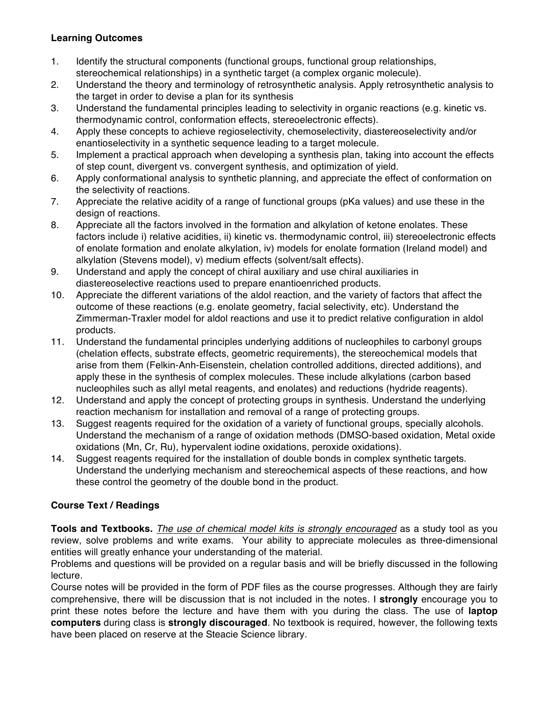## **Learning Outcomes**

- 1. Identify the structural components (functional groups, functional group relationships, stereochemical relationships) in a synthetic target (a complex organic molecule).
- 2. Understand the theory and terminology of retrosynthetic analysis. Apply retrosynthetic analysis to the target in order to devise a plan for its synthesis
- 3. Understand the fundamental principles leading to selectivity in organic reactions (e.g. kinetic vs. thermodynamic control, conformation effects, stereoelectronic effects).
- 4. Apply these concepts to achieve regioselectivity, chemoselectivity, diastereoselectivity and/or enantioselectivity in a synthetic sequence leading to a target molecule.
- 5. Implement a practical approach when developing a synthesis plan, taking into account the effects of step count, divergent vs. convergent synthesis, and optimization of yield.
- 6. Apply conformational analysis to synthetic planning, and appreciate the effect of conformation on the selectivity of reactions.
- 7. Appreciate the relative acidity of a range of functional groups (pKa values) and use these in the design of reactions.
- 8. Appreciate all the factors involved in the formation and alkylation of ketone enolates. These factors include i) relative acidities, ii) kinetic vs. thermodynamic control, iii) stereoelectronic effects of enolate formation and enolate alkylation, iv) models for enolate formation (Ireland model) and alkylation (Stevens model), v) medium effects (solvent/salt effects).
- 9. Understand and apply the concept of chiral auxiliary and use chiral auxiliaries in diastereoselective reactions used to prepare enantioenriched products.
- 10. Appreciate the different variations of the aldol reaction, and the variety of factors that affect the outcome of these reactions (e.g. enolate geometry, facial selectivity, etc). Understand the Zimmerman-Traxler model for aldol reactions and use it to predict relative configuration in aldol products.
- 11. Understand the fundamental principles underlying additions of nucleophiles to carbonyl groups (chelation effects, substrate effects, geometric requirements), the stereochemical models that arise from them (Felkin-Anh-Eisenstein, chelation controlled additions, directed additions), and apply these in the synthesis of complex molecules. These include alkylations (carbon based nucleophiles such as allyl metal reagents, and enolates) and reductions (hydride reagents).
- 12. Understand and apply the concept of protecting groups in synthesis. Understand the underlying reaction mechanism for installation and removal of a range of protecting groups.
- 13. Suggest reagents required for the oxidation of a variety of functional groups, specially alcohols. Understand the mechanism of a range of oxidation methods (DMSO-based oxidation, Metal oxide oxidations (Mn, Cr, Ru), hypervalent iodine oxidations, peroxide oxidations).
- 14. Suggest reagents required for the installation of double bonds in complex synthetic targets. Understand the underlying mechanism and stereochemical aspects of these reactions, and how these control the geometry of the double bond in the product.

# **Course Text / Readings**

**Tools and Textbooks.** *The use of chemical model kits is strongly encouraged* as a study tool as you review, solve problems and write exams. Your ability to appreciate molecules as three-dimensional entities will greatly enhance your understanding of the material.

Problems and questions will be provided on a regular basis and will be briefly discussed in the following lecture.

Course notes will be provided in the form of PDF files as the course progresses. Although they are fairly comprehensive, there will be discussion that is not included in the notes. I **strongly** encourage you to print these notes before the lecture and have them with you during the class. The use of **laptop computers** during class is **strongly discouraged**. No textbook is required, however, the following texts have been placed on reserve at the Steacie Science library.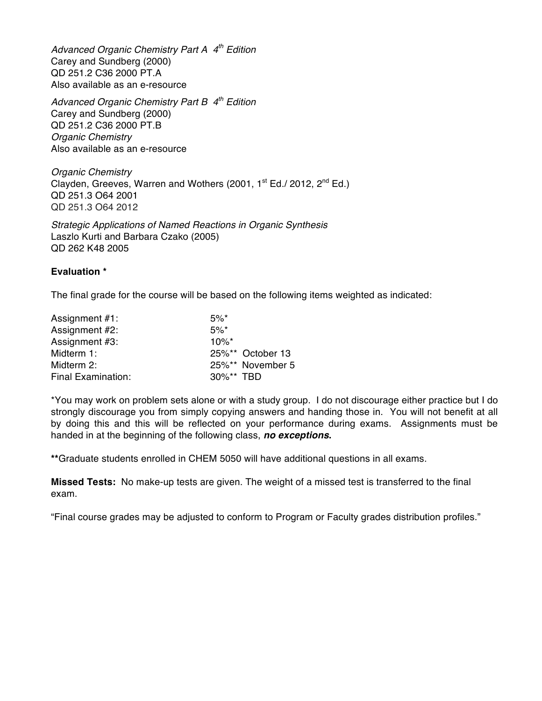*Advanced Organic Chemistry Part A 4th Edition* Carey and Sundberg (2000) QD 251.2 C36 2000 PT.A Also available as an e-resource

*Advanced Organic Chemistry Part B 4th Edition* Carey and Sundberg (2000) QD 251.2 C36 2000 PT.B *Organic Chemistry* Also available as an e-resource

*Organic Chemistry* Clayden, Greeves, Warren and Wothers (2001,  $1^{st}$  Ed./ 2012,  $2^{nd}$  Ed.) QD 251.3 O64 2001 QD 251.3 O64 2012

*Strategic Applications of Named Reactions in Organic Synthesis* Laszlo Kurti and Barbara Czako (2005) QD 262 K48 2005

## **Evaluation \***

The final grade for the course will be based on the following items weighted as indicated:

| Assignment #1:     | $5\%$ <sup>*</sup>  |
|--------------------|---------------------|
| Assignment #2:     | $5\%$ <sup>*</sup>  |
| Assignment #3:     | $10\%$ <sup>*</sup> |
| Midterm 1:         | 25%** October 13    |
| Midterm 2:         | 25%** November 5    |
| Final Examination: | 30%** TBD           |

\*You may work on problem sets alone or with a study group. I do not discourage either practice but I do strongly discourage you from simply copying answers and handing those in. You will not benefit at all by doing this and this will be reflected on your performance during exams. Assignments must be handed in at the beginning of the following class, *no exceptions***.**

**\*\***Graduate students enrolled in CHEM 5050 will have additional questions in all exams.

**Missed Tests:** No make-up tests are given. The weight of a missed test is transferred to the final exam.

"Final course grades may be adjusted to conform to Program or Faculty grades distribution profiles."